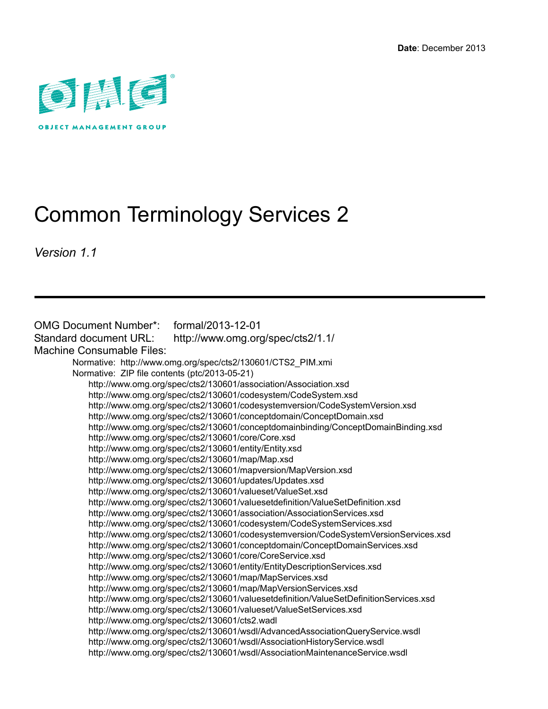

# Common Terminology Services 2

*Version 1.1*

OMG Document Number\*: formal/2013-12-01 Standard document URL: http://www.omg.org/spec/cts2/1.1/ Machine Consumable Files: Normative: http://www.omg.org/spec/cts2/130601/CTS2\_PIM.xmi Normative: ZIP file contents (ptc/2013-05-21) http://www.omg.org/spec/cts2/130601/association/Association.xsd http://www.omg.org/spec/cts2/130601/codesystem/CodeSystem.xsd http://www.omg.org/spec/cts2/130601/codesystemversion/CodeSystemVersion.xsd http://www.omg.org/spec/cts2/130601/conceptdomain/ConceptDomain.xsd http://www.omg.org/spec/cts2/130601/conceptdomainbinding/ConceptDomainBinding.xsd http://www.omg.org/spec/cts2/130601/core/Core.xsd http://www.omg.org/spec/cts2/130601/entity/Entity.xsd http://www.omg.org/spec/cts2/130601/map/Map.xsd http://www.omg.org/spec/cts2/130601/mapversion/MapVersion.xsd http://www.omg.org/spec/cts2/130601/updates/Updates.xsd http://www.omg.org/spec/cts2/130601/valueset/ValueSet.xsd http://www.omg.org/spec/cts2/130601/valuesetdefinition/ValueSetDefinition.xsd http://www.omg.org/spec/cts2/130601/association/AssociationServices.xsd http://www.omg.org/spec/cts2/130601/codesystem/CodeSystemServices.xsd http://www.omg.org/spec/cts2/130601/codesystemversion/CodeSystemVersionServices.xsd http://www.omg.org/spec/cts2/130601/conceptdomain/ConceptDomainServices.xsd http://www.omg.org/spec/cts2/130601/core/CoreService.xsd http://www.omg.org/spec/cts2/130601/entity/EntityDescriptionServices.xsd http://www.omg.org/spec/cts2/130601/map/MapServices.xsd http://www.omg.org/spec/cts2/130601/map/MapVersionServices.xsd http://www.omg.org/spec/cts2/130601/valuesetdefinition/ValueSetDefinitionServices.xsd http://www.omg.org/spec/cts2/130601/valueset/ValueSetServices.xsd http://www.omg.org/spec/cts2/130601/cts2.wadl http://www.omg.org/spec/cts2/130601/wsdl/AdvancedAssociationQueryService.wsdl http://www.omg.org/spec/cts2/130601/wsdl/AssociationHistoryService.wsdl http://www.omg.org/spec/cts2/130601/wsdl/AssociationMaintenanceService.wsdl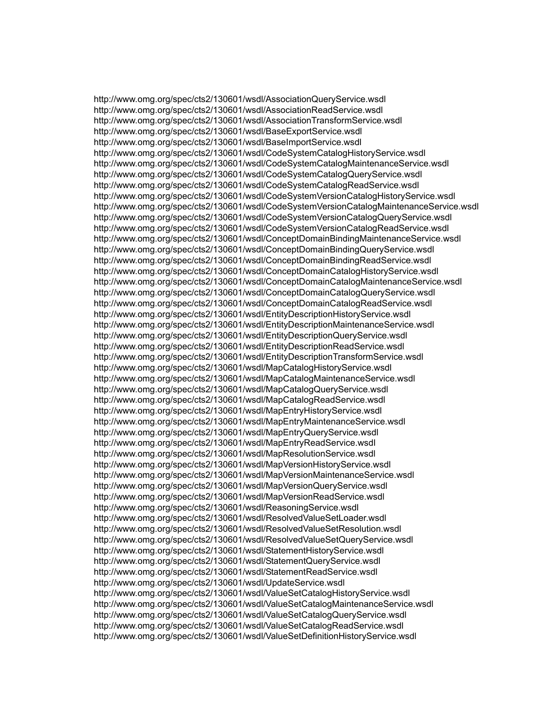http://www.omg.org/spec/cts2/130601/wsdl/AssociationQueryService.wsdl http://www.omg.org/spec/cts2/130601/wsdl/AssociationReadService.wsdl http://www.omg.org/spec/cts2/130601/wsdl/AssociationTransformService.wsdl http://www.omg.org/spec/cts2/130601/wsdl/BaseExportService.wsdl http://www.omg.org/spec/cts2/130601/wsdl/BaseImportService.wsdl http://www.omg.org/spec/cts2/130601/wsdl/CodeSystemCatalogHistoryService.wsdl http://www.omg.org/spec/cts2/130601/wsdl/CodeSystemCatalogMaintenanceService.wsdl http://www.omg.org/spec/cts2/130601/wsdl/CodeSystemCatalogQueryService.wsdl http://www.omg.org/spec/cts2/130601/wsdl/CodeSystemCatalogReadService.wsdl http://www.omg.org/spec/cts2/130601/wsdl/CodeSystemVersionCatalogHistoryService.wsdl http://www.omg.org/spec/cts2/130601/wsdl/CodeSystemVersionCatalogMaintenanceService.wsdl http://www.omg.org/spec/cts2/130601/wsdl/CodeSystemVersionCatalogQueryService.wsdl http://www.omg.org/spec/cts2/130601/wsdl/CodeSystemVersionCatalogReadService.wsdl http://www.omg.org/spec/cts2/130601/wsdl/ConceptDomainBindingMaintenanceService.wsdl http://www.omg.org/spec/cts2/130601/wsdl/ConceptDomainBindingQueryService.wsdl http://www.omg.org/spec/cts2/130601/wsdl/ConceptDomainBindingReadService.wsdl http://www.omg.org/spec/cts2/130601/wsdl/ConceptDomainCatalogHistoryService.wsdl http://www.omg.org/spec/cts2/130601/wsdl/ConceptDomainCatalogMaintenanceService.wsdl http://www.omg.org/spec/cts2/130601/wsdl/ConceptDomainCatalogQueryService.wsdl http://www.omg.org/spec/cts2/130601/wsdl/ConceptDomainCatalogReadService.wsdl http://www.omg.org/spec/cts2/130601/wsdl/EntityDescriptionHistoryService.wsdl http://www.omg.org/spec/cts2/130601/wsdl/EntityDescriptionMaintenanceService.wsdl http://www.omg.org/spec/cts2/130601/wsdl/EntityDescriptionQueryService.wsdl http://www.omg.org/spec/cts2/130601/wsdl/EntityDescriptionReadService.wsdl http://www.omg.org/spec/cts2/130601/wsdl/EntityDescriptionTransformService.wsdl http://www.omg.org/spec/cts2/130601/wsdl/MapCatalogHistoryService.wsdl http://www.omg.org/spec/cts2/130601/wsdl/MapCatalogMaintenanceService.wsdl http://www.omg.org/spec/cts2/130601/wsdl/MapCatalogQueryService.wsdl http://www.omg.org/spec/cts2/130601/wsdl/MapCatalogReadService.wsdl http://www.omg.org/spec/cts2/130601/wsdl/MapEntryHistoryService.wsdl http://www.omg.org/spec/cts2/130601/wsdl/MapEntryMaintenanceService.wsdl http://www.omg.org/spec/cts2/130601/wsdl/MapEntryQueryService.wsdl http://www.omg.org/spec/cts2/130601/wsdl/MapEntryReadService.wsdl http://www.omg.org/spec/cts2/130601/wsdl/MapResolutionService.wsdl http://www.omg.org/spec/cts2/130601/wsdl/MapVersionHistoryService.wsdl http://www.omg.org/spec/cts2/130601/wsdl/MapVersionMaintenanceService.wsdl http://www.omg.org/spec/cts2/130601/wsdl/MapVersionQueryService.wsdl http://www.omg.org/spec/cts2/130601/wsdl/MapVersionReadService.wsdl http://www.omg.org/spec/cts2/130601/wsdl/ReasoningService.wsdl http://www.omg.org/spec/cts2/130601/wsdl/ResolvedValueSetLoader.wsdl http://www.omg.org/spec/cts2/130601/wsdl/ResolvedValueSetResolution.wsdl http://www.omg.org/spec/cts2/130601/wsdl/ResolvedValueSetQueryService.wsdl http://www.omg.org/spec/cts2/130601/wsdl/StatementHistoryService.wsdl http://www.omg.org/spec/cts2/130601/wsdl/StatementQueryService.wsdl http://www.omg.org/spec/cts2/130601/wsdl/StatementReadService.wsdl http://www.omg.org/spec/cts2/130601/wsdl/UpdateService.wsdl http://www.omg.org/spec/cts2/130601/wsdl/ValueSetCatalogHistoryService.wsdl http://www.omg.org/spec/cts2/130601/wsdl/ValueSetCatalogMaintenanceService.wsdl http://www.omg.org/spec/cts2/130601/wsdl/ValueSetCatalogQueryService.wsdl http://www.omg.org/spec/cts2/130601/wsdl/ValueSetCatalogReadService.wsdl http://www.omg.org/spec/cts2/130601/wsdl/ValueSetDefinitionHistoryService.wsdl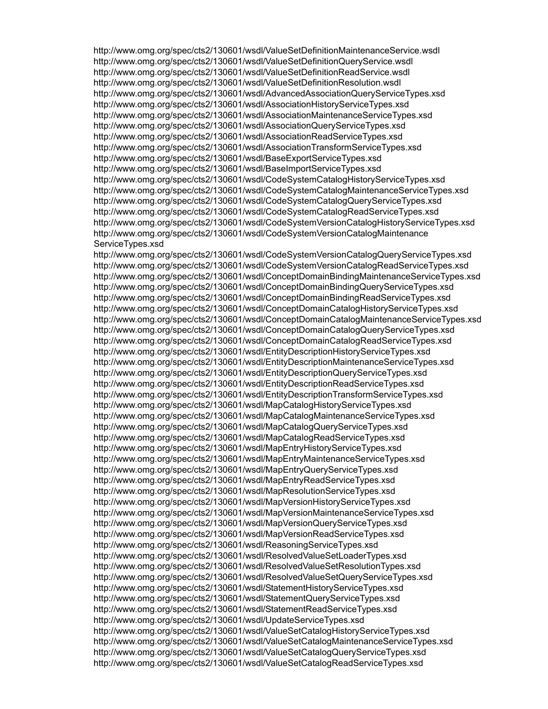http://www.omg.org/spec/cts2/130601/wsdl/ValueSetDefinitionMaintenanceService.wsdl http://www.omg.org/spec/cts2/130601/wsdl/ValueSetDefinitionQueryService.wsdl http://www.omg.org/spec/cts2/130601/wsdl/ValueSetDefinitionReadService.wsdl http://www.omg.org/spec/cts2/130601/wsdl/ValueSetDefinitionResolution.wsdl http://www.omg.org/spec/cts2/130601/wsdl/AdvancedAssociationQueryServiceTypes.xsd http://www.omg.org/spec/cts2/130601/wsdl/AssociationHistoryServiceTypes.xsd http://www.omg.org/spec/cts2/130601/wsdl/AssociationMaintenanceServiceTypes.xsd http://www.omg.org/spec/cts2/130601/wsdl/AssociationQueryServiceTypes.xsd http://www.omg.org/spec/cts2/130601/wsdl/AssociationReadServiceTypes.xsd http://www.omg.org/spec/cts2/130601/wsdl/AssociationTransformServiceTypes.xsd http://www.omg.org/spec/cts2/130601/wsdl/BaseExportServiceTypes.xsd http://www.omg.org/spec/cts2/130601/wsdl/BaseImportServiceTypes.xsd http://www.omg.org/spec/cts2/130601/wsdl/CodeSystemCatalogHistoryServiceTypes.xsd http://www.omg.org/spec/cts2/130601/wsdl/CodeSystemCatalogMaintenanceServiceTypes.xsd http://www.omg.org/spec/cts2/130601/wsdl/CodeSystemCatalogQueryServiceTypes.xsd http://www.omg.org/spec/cts2/130601/wsdl/CodeSystemCatalogReadServiceTypes.xsd http://www.omg.org/spec/cts2/130601/wsdl/CodeSystemVersionCatalogHistoryServiceTypes.xsd http://www.omg.org/spec/cts2/130601/wsdl/CodeSystemVersionCatalogMaintenance ServiceTypes.xsd

http://www.omg.org/spec/cts2/130601/wsdl/CodeSystemVersionCatalogQueryServiceTypes.xsd http://www.omg.org/spec/cts2/130601/wsdl/CodeSystemVersionCatalogReadServiceTypes.xsd http://www.omg.org/spec/cts2/130601/wsdl/ConceptDomainBindingMaintenanceServiceTypes.xsd http://www.omg.org/spec/cts2/130601/wsdl/ConceptDomainBindingQueryServiceTypes.xsd http://www.omg.org/spec/cts2/130601/wsdl/ConceptDomainBindingReadServiceTypes.xsd http://www.omg.org/spec/cts2/130601/wsdl/ConceptDomainCatalogHistoryServiceTypes.xsd http://www.omg.org/spec/cts2/130601/wsdl/ConceptDomainCatalogMaintenanceServiceTypes.xsd http://www.omg.org/spec/cts2/130601/wsdl/ConceptDomainCatalogQueryServiceTypes.xsd http://www.omg.org/spec/cts2/130601/wsdl/ConceptDomainCatalogReadServiceTypes.xsd http://www.omg.org/spec/cts2/130601/wsdl/EntityDescriptionHistoryServiceTypes.xsd http://www.omg.org/spec/cts2/130601/wsdl/EntityDescriptionMaintenanceServiceTypes.xsd http://www.omg.org/spec/cts2/130601/wsdl/EntityDescriptionQueryServiceTypes.xsd http://www.omg.org/spec/cts2/130601/wsdl/EntityDescriptionReadServiceTypes.xsd http://www.omg.org/spec/cts2/130601/wsdl/EntityDescriptionTransformServiceTypes.xsd http://www.omg.org/spec/cts2/130601/wsdl/MapCatalogHistoryServiceTypes.xsd http://www.omg.org/spec/cts2/130601/wsdl/MapCatalogMaintenanceServiceTypes.xsd http://www.omg.org/spec/cts2/130601/wsdl/MapCatalogQueryServiceTypes.xsd http://www.omg.org/spec/cts2/130601/wsdl/MapCatalogReadServiceTypes.xsd http://www.omg.org/spec/cts2/130601/wsdl/MapEntryHistoryServiceTypes.xsd http://www.omg.org/spec/cts2/130601/wsdl/MapEntryMaintenanceServiceTypes.xsd http://www.omg.org/spec/cts2/130601/wsdl/MapEntryQueryServiceTypes.xsd http://www.omg.org/spec/cts2/130601/wsdl/MapEntryReadServiceTypes.xsd http://www.omg.org/spec/cts2/130601/wsdl/MapResolutionServiceTypes.xsd http://www.omg.org/spec/cts2/130601/wsdl/MapVersionHistoryServiceTypes.xsd http://www.omg.org/spec/cts2/130601/wsdl/MapVersionMaintenanceServiceTypes.xsd http://www.omg.org/spec/cts2/130601/wsdl/MapVersionQueryServiceTypes.xsd http://www.omg.org/spec/cts2/130601/wsdl/MapVersionReadServiceTypes.xsd http://www.omg.org/spec/cts2/130601/wsdl/ReasoningServiceTypes.xsd http://www.omg.org/spec/cts2/130601/wsdl/ResolvedValueSetLoaderTypes.xsd http://www.omg.org/spec/cts2/130601/wsdl/ResolvedValueSetResolutionTypes.xsd http://www.omg.org/spec/cts2/130601/wsdl/ResolvedValueSetQueryServiceTypes.xsd http://www.omg.org/spec/cts2/130601/wsdl/StatementHistoryServiceTypes.xsd http://www.omg.org/spec/cts2/130601/wsdl/StatementQueryServiceTypes.xsd http://www.omg.org/spec/cts2/130601/wsdl/StatementReadServiceTypes.xsd http://www.omg.org/spec/cts2/130601/wsdl/UpdateServiceTypes.xsd http://www.omg.org/spec/cts2/130601/wsdl/ValueSetCatalogHistoryServiceTypes.xsd http://www.omg.org/spec/cts2/130601/wsdl/ValueSetCatalogMaintenanceServiceTypes.xsd http://www.omg.org/spec/cts2/130601/wsdl/ValueSetCatalogQueryServiceTypes.xsd http://www.omg.org/spec/cts2/130601/wsdl/ValueSetCatalogReadServiceTypes.xsd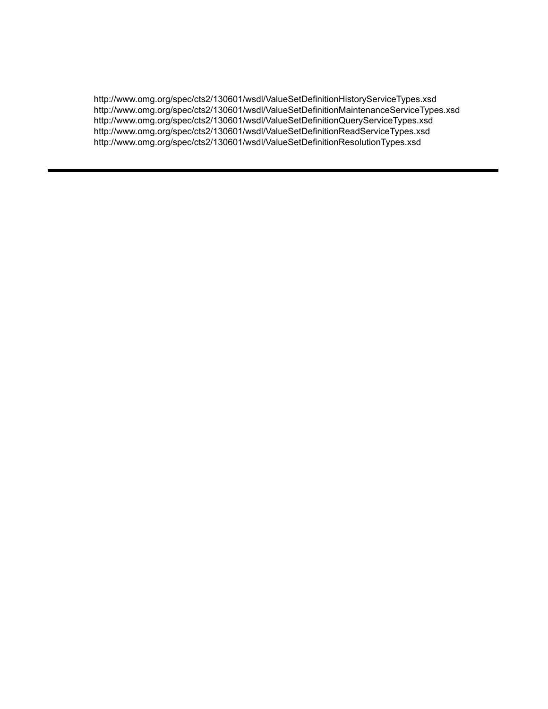http://www.omg.org/spec/cts2/130601/wsdl/ValueSetDefinitionHistoryServiceTypes.xsd http://www.omg.org/spec/cts2/130601/wsdl/ValueSetDefinitionMaintenanceServiceTypes.xsd http://www.omg.org/spec/cts2/130601/wsdl/ValueSetDefinitionQueryServiceTypes.xsd http://www.omg.org/spec/cts2/130601/wsdl/ValueSetDefinitionReadServiceTypes.xsd http://www.omg.org/spec/cts2/130601/wsdl/ValueSetDefinitionResolutionTypes.xsd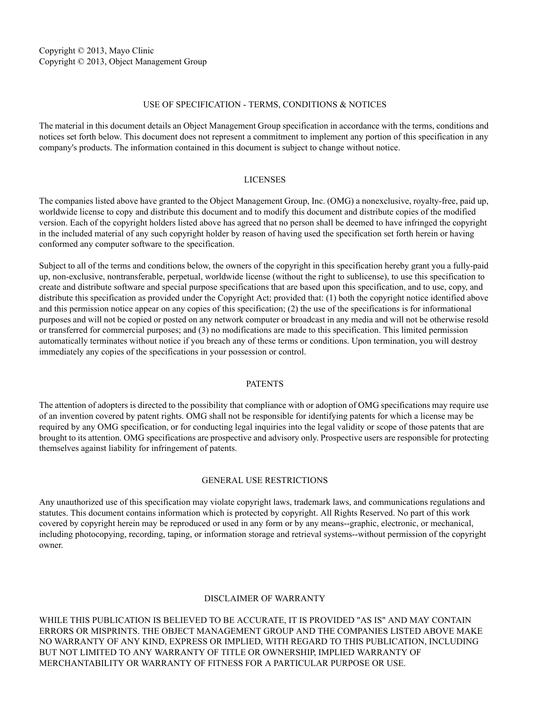#### USE OF SPECIFICATION - TERMS, CONDITIONS & NOTICES

The material in this document details an Object Management Group specification in accordance with the terms, conditions and notices set forth below. This document does not represent a commitment to implement any portion of this specification in any company's products. The information contained in this document is subject to change without notice.

#### LICENSES

The companies listed above have granted to the Object Management Group, Inc. (OMG) a nonexclusive, royalty-free, paid up, worldwide license to copy and distribute this document and to modify this document and distribute copies of the modified version. Each of the copyright holders listed above has agreed that no person shall be deemed to have infringed the copyright in the included material of any such copyright holder by reason of having used the specification set forth herein or having conformed any computer software to the specification.

Subject to all of the terms and conditions below, the owners of the copyright in this specification hereby grant you a fully-paid up, non-exclusive, nontransferable, perpetual, worldwide license (without the right to sublicense), to use this specification to create and distribute software and special purpose specifications that are based upon this specification, and to use, copy, and distribute this specification as provided under the Copyright Act; provided that: (1) both the copyright notice identified above and this permission notice appear on any copies of this specification; (2) the use of the specifications is for informational purposes and will not be copied or posted on any network computer or broadcast in any media and will not be otherwise resold or transferred for commercial purposes; and (3) no modifications are made to this specification. This limited permission automatically terminates without notice if you breach any of these terms or conditions. Upon termination, you will destroy immediately any copies of the specifications in your possession or control.

#### PATENTS

The attention of adopters is directed to the possibility that compliance with or adoption of OMG specifications may require use of an invention covered by patent rights. OMG shall not be responsible for identifying patents for which a license may be required by any OMG specification, or for conducting legal inquiries into the legal validity or scope of those patents that are brought to its attention. OMG specifications are prospective and advisory only. Prospective users are responsible for protecting themselves against liability for infringement of patents.

#### GENERAL USE RESTRICTIONS

Any unauthorized use of this specification may violate copyright laws, trademark laws, and communications regulations and statutes. This document contains information which is protected by copyright. All Rights Reserved. No part of this work covered by copyright herein may be reproduced or used in any form or by any means--graphic, electronic, or mechanical, including photocopying, recording, taping, or information storage and retrieval systems--without permission of the copyright owner.

#### DISCLAIMER OF WARRANTY

WHILE THIS PUBLICATION IS BELIEVED TO BE ACCURATE, IT IS PROVIDED "AS IS" AND MAY CONTAIN ERRORS OR MISPRINTS. THE OBJECT MANAGEMENT GROUP AND THE COMPANIES LISTED ABOVE MAKE NO WARRANTY OF ANY KIND, EXPRESS OR IMPLIED, WITH REGARD TO THIS PUBLICATION, INCLUDING BUT NOT LIMITED TO ANY WARRANTY OF TITLE OR OWNERSHIP, IMPLIED WARRANTY OF MERCHANTABILITY OR WARRANTY OF FITNESS FOR A PARTICULAR PURPOSE OR USE.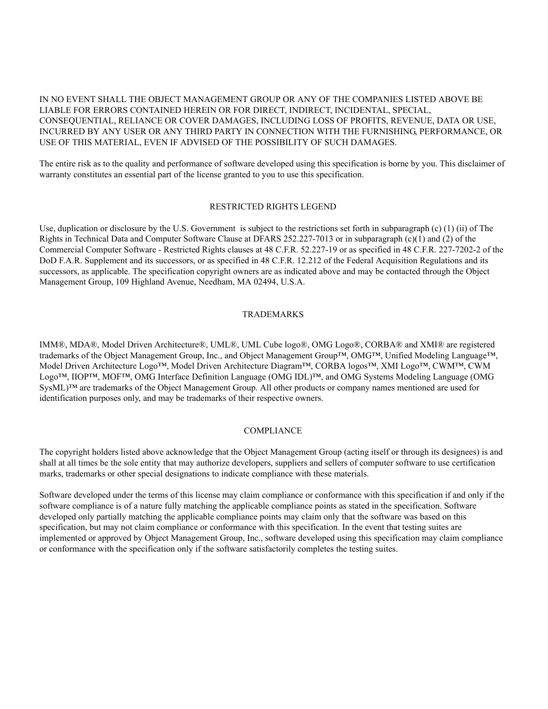#### IN NO EVENT SHALL THE OBJECT MANAGEMENT GROUP OR ANY OF THE COMPANIES LISTED ABOVE BE LIABLE FOR ERRORS CONTAINED HEREIN OR FOR DIRECT, INDIRECT, INCIDENTAL, SPECIAL, CONSEQUENTIAL, RELIANCE OR COVER DAMAGES, INCLUDING LOSS OF PROFITS, REVENUE, DATA OR USE, INCURRED BY ANY USER OR ANY THIRD PARTY IN CONNECTION WITH THE FURNISHING, PERFORMANCE, OR USE OF THIS MATERIAL, EVEN IF ADVISED OF THE POSSIBILITY OF SUCH DAMAGES.

The entire risk as to the quality and performance of software developed using this specification is borne by you. This disclaimer of warranty constitutes an essential part of the license granted to you to use this specification.

#### RESTRICTED RIGHTS LEGEND

Use, duplication or disclosure by the U.S. Government is subject to the restrictions set forth in subparagraph (c) (1) (ii) of The Rights in Technical Data and Computer Software Clause at DFARS 252.227-7013 or in subparagraph (c)(1) and (2) of the Commercial Computer Software - Restricted Rights clauses at 48 C.F.R. 52.227-19 or as specified in 48 C.F.R. 227-7202-2 of the DoD F.A.R. Supplement and its successors, or as specified in 48 C.F.R. 12.212 of the Federal Acquisition Regulations and its successors, as applicable. The specification copyright owners are as indicated above and may be contacted through the Object Management Group, 109 Highland Avenue, Needham, MA 02494, U.S.A.

#### TRADEMARKS

IMM®, MDA®, Model Driven Architecture®, UML®, UML Cube logo®, OMG Logo®, CORBA® and XMI® are registered trademarks of the Object Management Group, Inc., and Object Management Group™, OMG™, Unified Modeling Language™, Model Driven Architecture Logo™, Model Driven Architecture Diagram™, CORBA logos™, XMI Logo™, CWM™, CWM Logo™, IIOP™, MOF™, OMG Interface Definition Language (OMG IDL)™, and OMG Systems Modeling Language (OMG SysML)™ are trademarks of the Object Management Group. All other products or company names mentioned are used for identification purposes only, and may be trademarks of their respective owners.

#### **COMPLIANCE**

The copyright holders listed above acknowledge that the Object Management Group (acting itself or through its designees) is and shall at all times be the sole entity that may authorize developers, suppliers and sellers of computer software to use certification marks, trademarks or other special designations to indicate compliance with these materials.

Software developed under the terms of this license may claim compliance or conformance with this specification if and only if the software compliance is of a nature fully matching the applicable compliance points as stated in the specification. Software developed only partially matching the applicable compliance points may claim only that the software was based on this specification, but may not claim compliance or conformance with this specification. In the event that testing suites are implemented or approved by Object Management Group, Inc., software developed using this specification may claim compliance or conformance with the specification only if the software satisfactorily completes the testing suites.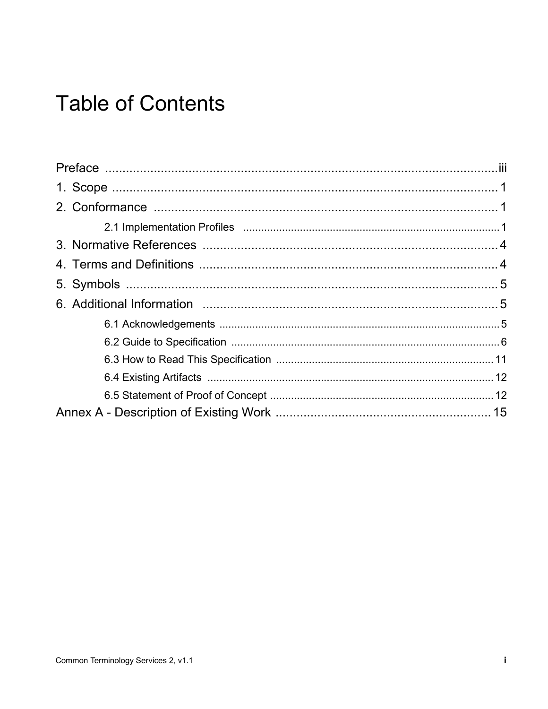# **Table of Contents**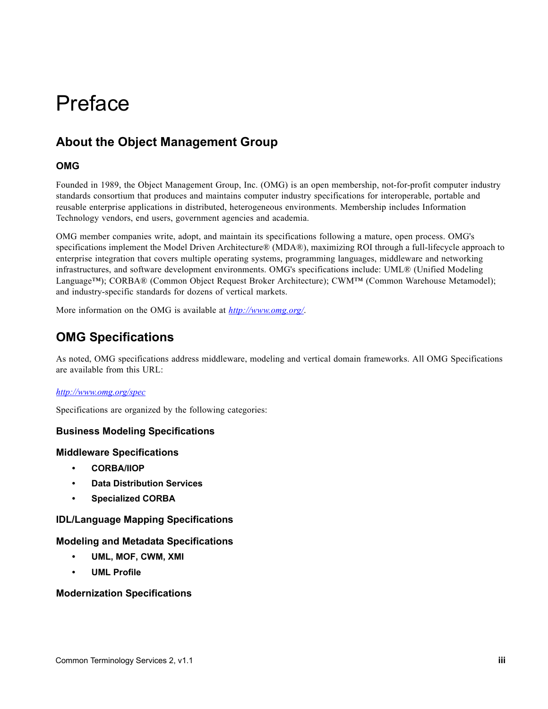# <span id="page-8-0"></span>Preface

## **About the Object Management Group**

### **OMG**

Founded in 1989, the Object Management Group, Inc. (OMG) is an open membership, not-for-profit computer industry standards consortium that produces and maintains computer industry specifications for interoperable, portable and reusable enterprise applications in distributed, heterogeneous environments. Membership includes Information Technology vendors, end users, government agencies and academia.

OMG member companies write, adopt, and maintain its specifications following a mature, open process. OMG's specifications implement the Model Driven Architecture® (MDA®), maximizing ROI through a full-lifecycle approach to enterprise integration that covers multiple operating systems, programming languages, middleware and networking infrastructures, and software development environments. OMG's specifications include: UML® (Unified Modeling Language™); CORBA® (Common Object Request Broker Architecture); CWM™ (Common Warehouse Metamodel); and industry-specific standards for dozens of vertical markets.

More information on the OMG is available at *http://www.omg.org/*.

## **OMG Specifications**

As noted, OMG specifications address middleware, modeling and vertical domain frameworks. All OMG Specifications are available from this URL:

#### *http://www.omg.org/spec*

Specifications are organized by the following categories:

## **Business Modeling Specifications**

### **Middleware Specifications**

- **CORBA/IIOP**
- **Data Distribution Services**
- **Specialized CORBA**

### **IDL/Language Mapping Specifications**

### **Modeling and Metadata Specifications**

- **UML, MOF, CWM, XMI**
- **UML Profile**

#### **Modernization Specifications**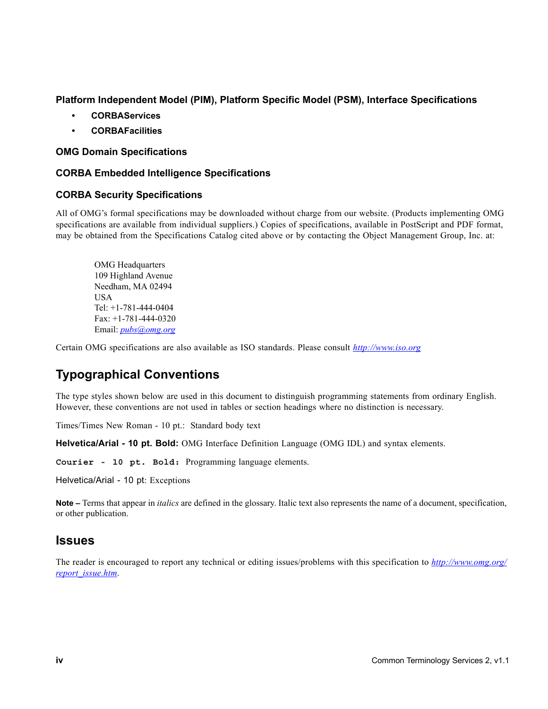### **Platform Independent Model (PIM), Platform Specific Model (PSM), Interface Specifications**

- **CORBAServices**
- **CORBAFacilities**

#### **OMG Domain Specifications**

#### **CORBA Embedded Intelligence Specifications**

#### **CORBA Security Specifications**

All of OMG's formal specifications may be downloaded without charge from our website. (Products implementing OMG specifications are available from individual suppliers.) Copies of specifications, available in PostScript and PDF format, may be obtained from the Specifications Catalog cited above or by contacting the Object Management Group, Inc. at:

OMG Headquarters 109 Highland Avenue Needham, MA 02494 USA Tel: +1-781-444-0404 Fax: +1-781-444-0320 Email: *pubs@omg.org*

Certain OMG specifications are also available as ISO standards. Please consult *http://www.iso.org*

## **Typographical Conventions**

The type styles shown below are used in this document to distinguish programming statements from ordinary English. However, these conventions are not used in tables or section headings where no distinction is necessary.

Times/Times New Roman - 10 pt.: Standard body text

**Helvetica/Arial - 10 pt. Bold:** OMG Interface Definition Language (OMG IDL) and syntax elements.

**Courier - 10 pt. Bold:** Programming language elements.

Helvetica/Arial - 10 pt: Exceptions

**Note –** Terms that appear in *italics* are defined in the glossary. Italic text also represents the name of a document, specification, or other publication.

## **Issues**

The reader is encouraged to report any technical or editing issues/problems with this specification to *http://www.omg.org/ report\_issue.htm*.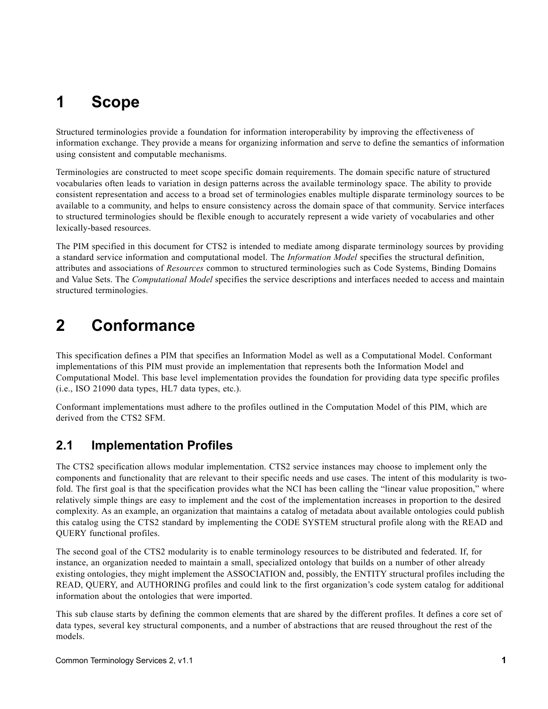## <span id="page-10-0"></span>**1 Scope**

Structured terminologies provide a foundation for information interoperability by improving the effectiveness of information exchange. They provide a means for organizing information and serve to define the semantics of information using consistent and computable mechanisms.

Terminologies are constructed to meet scope specific domain requirements. The domain specific nature of structured vocabularies often leads to variation in design patterns across the available terminology space. The ability to provide consistent representation and access to a broad set of terminologies enables multiple disparate terminology sources to be available to a community, and helps to ensure consistency across the domain space of that community. Service interfaces to structured terminologies should be flexible enough to accurately represent a wide variety of vocabularies and other lexically-based resources.

The PIM specified in this document for CTS2 is intended to mediate among disparate terminology sources by providing a standard service information and computational model. The *Information Model* specifies the structural definition, attributes and associations of *Resources* common to structured terminologies such as Code Systems, Binding Domains and Value Sets. The *Computational Model* specifies the service descriptions and interfaces needed to access and maintain structured terminologies.

## <span id="page-10-1"></span>**2 Conformance**

This specification defines a PIM that specifies an Information Model as well as a Computational Model. Conformant implementations of this PIM must provide an implementation that represents both the Information Model and Computational Model. This base level implementation provides the foundation for providing data type specific profiles (i.e., ISO 21090 data types, HL7 data types, etc.).

Conformant implementations must adhere to the profiles outlined in the Computation Model of this PIM, which are derived from the CTS2 SFM.

## <span id="page-10-2"></span>**2.1 Implementation Profiles**

The CTS2 specification allows modular implementation. CTS2 service instances may choose to implement only the components and functionality that are relevant to their specific needs and use cases. The intent of this modularity is twofold. The first goal is that the specification provides what the NCI has been calling the "linear value proposition," where relatively simple things are easy to implement and the cost of the implementation increases in proportion to the desired complexity. As an example, an organization that maintains a catalog of metadata about available ontologies could publish this catalog using the CTS2 standard by implementing the CODE SYSTEM structural profile along with the READ and QUERY functional profiles.

The second goal of the CTS2 modularity is to enable terminology resources to be distributed and federated. If, for instance, an organization needed to maintain a small, specialized ontology that builds on a number of other already existing ontologies, they might implement the ASSOCIATION and, possibly, the ENTITY structural profiles including the READ, QUERY, and AUTHORING profiles and could link to the first organization's code system catalog for additional information about the ontologies that were imported.

This sub clause starts by defining the common elements that are shared by the different profiles. It defines a core set of data types, several key structural components, and a number of abstractions that are reused throughout the rest of the models.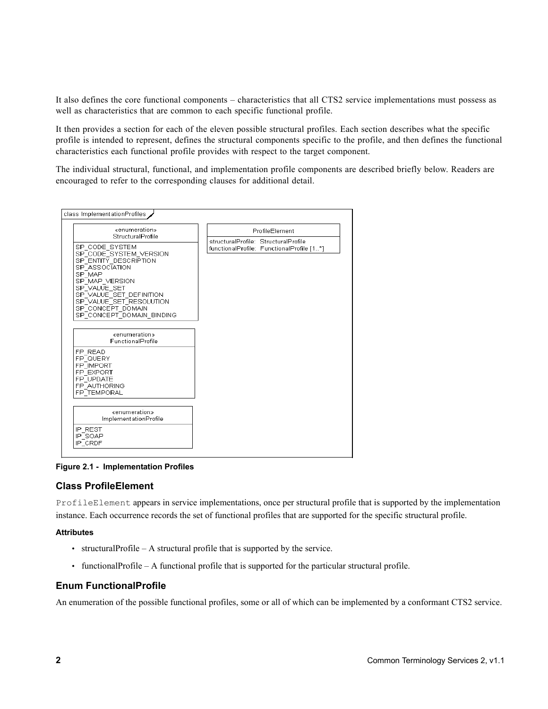It also defines the core functional components – characteristics that all CTS2 service implementations must possess as well as characteristics that are common to each specific functional profile.

It then provides a section for each of the eleven possible structural profiles. Each section describes what the specific profile is intended to represent, defines the structural components specific to the profile, and then defines the functional characteristics each functional profile provides with respect to the target component.

The individual structural, functional, and implementation profile components are described briefly below. Readers are encouraged to refer to the corresponding clauses for additional detail.



**Figure 2.1 - Implementation Profiles**

#### **Class ProfileElement**

ProfileElement appears in service implementations, once per structural profile that is supported by the implementation instance. Each occurrence records the set of functional profiles that are supported for the specific structural profile.

#### **Attributes**

- structuralProfile A structural profile that is supported by the service.
- functionalProfile A functional profile that is supported for the particular structural profile.

#### **Enum FunctionalProfile**

An enumeration of the possible functional profiles, some or all of which can be implemented by a conformant CTS2 service.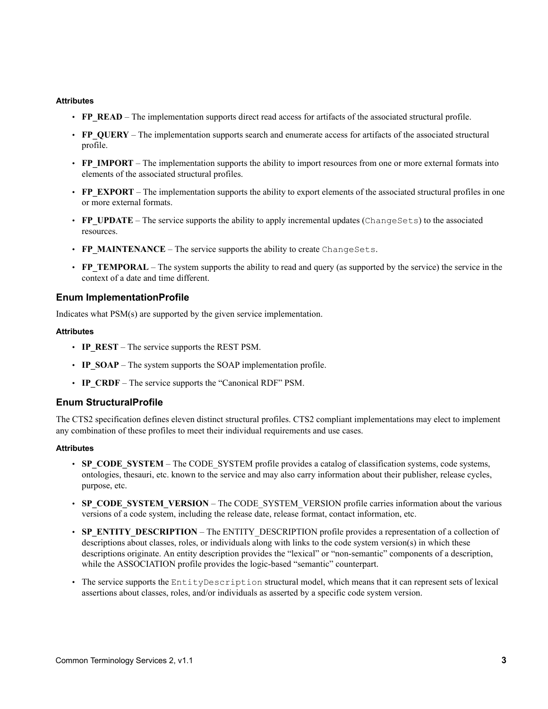#### **Attributes**

- **FP\_READ** The implementation supports direct read access for artifacts of the associated structural profile.
- **FP\_QUERY** The implementation supports search and enumerate access for artifacts of the associated structural profile.
- **FP\_IMPORT** The implementation supports the ability to import resources from one or more external formats into elements of the associated structural profiles.
- **FP\_EXPORT** The implementation supports the ability to export elements of the associated structural profiles in one or more external formats.
- **FP\_UPDATE** The service supports the ability to apply incremental updates (ChangeSets) to the associated resources.
- **FP\_MAINTENANCE** The service supports the ability to create ChangeSets.
- **FP\_TEMPORAL** The system supports the ability to read and query (as supported by the service) the service in the context of a date and time different.

#### **Enum ImplementationProfile**

Indicates what PSM(s) are supported by the given service implementation.

#### **Attributes**

- **IP\_REST** The service supports the REST PSM.
- **IP\_SOAP** The system supports the SOAP implementation profile.
- **IP CRDF** The service supports the "Canonical RDF" PSM.

#### **Enum StructuralProfile**

The CTS2 specification defines eleven distinct structural profiles. CTS2 compliant implementations may elect to implement any combination of these profiles to meet their individual requirements and use cases.

#### **Attributes**

- **SP\_CODE\_SYSTEM** The CODE\_SYSTEM profile provides a catalog of classification systems, code systems, ontologies, thesauri, etc. known to the service and may also carry information about their publisher, release cycles, purpose, etc.
- **SP\_CODE\_SYSTEM\_VERSION** The CODE\_SYSTEM\_VERSION profile carries information about the various versions of a code system, including the release date, release format, contact information, etc.
- **SP\_ENTITY\_DESCRIPTION** The ENTITY\_DESCRIPTION profile provides a representation of a collection of descriptions about classes, roles, or individuals along with links to the code system version(s) in which these descriptions originate. An entity description provides the "lexical" or "non-semantic" components of a description, while the ASSOCIATION profile provides the logic-based "semantic" counterpart.
- The service supports the EntityDescription structural model, which means that it can represent sets of lexical assertions about classes, roles, and/or individuals as asserted by a specific code system version.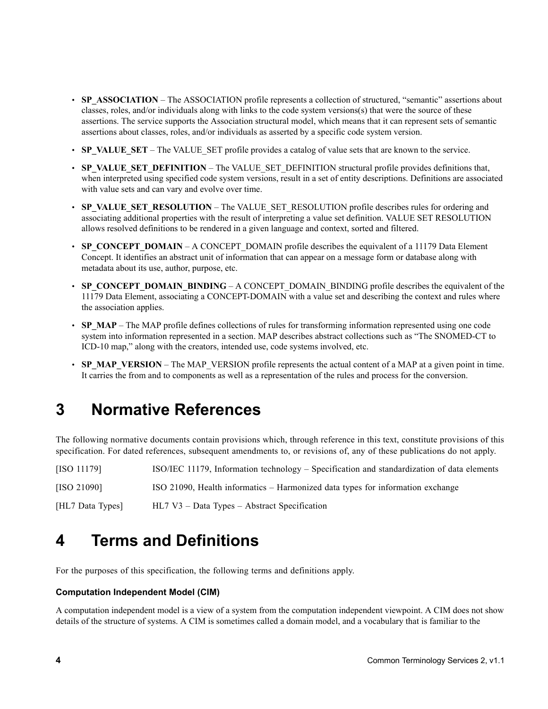- **SP\_ASSOCIATION** The ASSOCIATION profile represents a collection of structured, "semantic" assertions about classes, roles, and/or individuals along with links to the code system versions(s) that were the source of these assertions. The service supports the Association structural model, which means that it can represent sets of semantic assertions about classes, roles, and/or individuals as asserted by a specific code system version.
- **SP\_VALUE\_SET** The VALUE\_SET profile provides a catalog of value sets that are known to the service.
- **SP\_VALUE\_SET\_DEFINITION** The VALUE\_SET\_DEFINITION structural profile provides definitions that, when interpreted using specified code system versions, result in a set of entity descriptions. Definitions are associated with value sets and can vary and evolve over time.
- **SP\_VALUE\_SET\_RESOLUTION** The VALUE\_SET\_RESOLUTION profile describes rules for ordering and associating additional properties with the result of interpreting a value set definition. VALUE SET RESOLUTION allows resolved definitions to be rendered in a given language and context, sorted and filtered.
- **SP\_CONCEPT\_DOMAIN** A CONCEPT\_DOMAIN profile describes the equivalent of a 11179 Data Element Concept. It identifies an abstract unit of information that can appear on a message form or database along with metadata about its use, author, purpose, etc.
- **SP\_CONCEPT\_DOMAIN\_BINDING** A CONCEPT\_DOMAIN\_BINDING profile describes the equivalent of the 11179 Data Element, associating a CONCEPT-DOMAIN with a value set and describing the context and rules where the association applies.
- **SP\_MAP** The MAP profile defines collections of rules for transforming information represented using one code system into information represented in a section. MAP describes abstract collections such as "The SNOMED-CT to ICD-10 map," along with the creators, intended use, code systems involved, etc.
- **SP\_MAP\_VERSION** The MAP\_VERSION profile represents the actual content of a MAP at a given point in time. It carries the from and to components as well as a representation of the rules and process for the conversion.

## <span id="page-13-0"></span>**3 Normative References**

The following normative documents contain provisions which, through reference in this text, constitute provisions of this specification. For dated references, subsequent amendments to, or revisions of, any of these publications do not apply.

| [ISO 11179]      | ISO/IEC 11179, Information technology – Specification and standardization of data elements |
|------------------|--------------------------------------------------------------------------------------------|
| [ISO 21090]      | ISO 21090, Health informatics – Harmonized data types for information exchange             |
| [HL7 Data Types] | HL7 V3 – Data Types – Abstract Specification                                               |

## <span id="page-13-1"></span>**4 Terms and Definitions**

For the purposes of this specification, the following terms and definitions apply.

#### **Computation Independent Model (CIM)**

A computation independent model is a view of a system from the computation independent viewpoint. A CIM does not show details of the structure of systems. A CIM is sometimes called a domain model, and a vocabulary that is familiar to the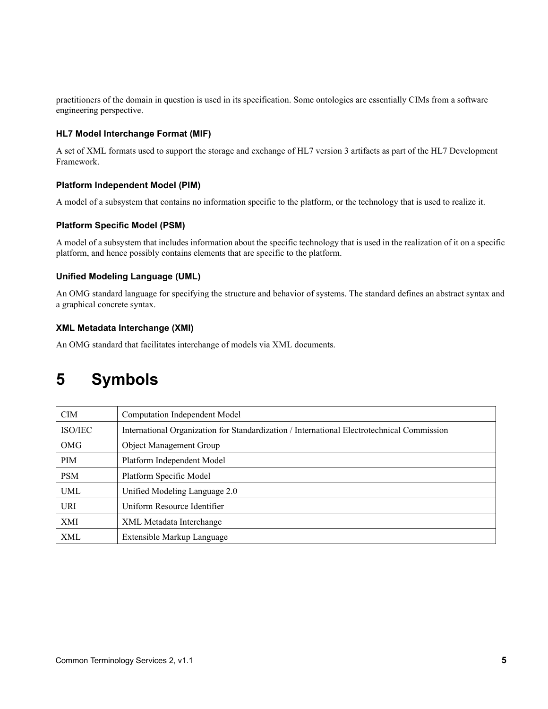practitioners of the domain in question is used in its specification. Some ontologies are essentially CIMs from a software engineering perspective.

#### **HL7 Model Interchange Format (MIF)**

A set of XML formats used to support the storage and exchange of HL7 version 3 artifacts as part of the HL7 Development Framework.

#### **Platform Independent Model (PIM)**

A model of a subsystem that contains no information specific to the platform, or the technology that is used to realize it.

#### **Platform Specific Model (PSM)**

A model of a subsystem that includes information about the specific technology that is used in the realization of it on a specific platform, and hence possibly contains elements that are specific to the platform.

#### **Unified Modeling Language (UML)**

An OMG standard language for specifying the structure and behavior of systems. The standard defines an abstract syntax and a graphical concrete syntax.

#### **XML Metadata Interchange (XMI)**

An OMG standard that facilitates interchange of models via XML documents.

## <span id="page-14-0"></span>**5 Symbols**

| <b>CIM</b> | <b>Computation Independent Model</b>                                                       |
|------------|--------------------------------------------------------------------------------------------|
| ISO/IEC    | International Organization for Standardization / International Electrotechnical Commission |
| <b>OMG</b> | <b>Object Management Group</b>                                                             |
| <b>PIM</b> | Platform Independent Model                                                                 |
| <b>PSM</b> | Platform Specific Model                                                                    |
| <b>UML</b> | Unified Modeling Language 2.0                                                              |
| URI        | Uniform Resource Identifier                                                                |
| <b>XMI</b> | XML Metadata Interchange                                                                   |
| <b>XML</b> | Extensible Markup Language                                                                 |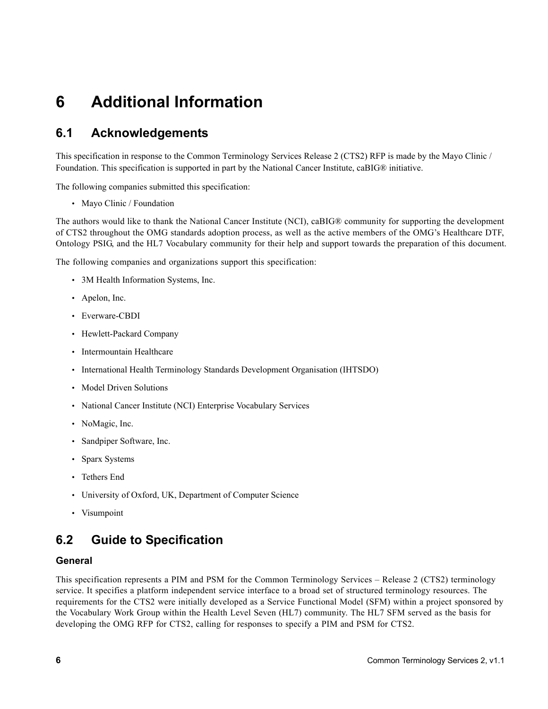## <span id="page-15-0"></span>**6 Additional Information**

## <span id="page-15-1"></span>**6.1 Acknowledgements**

This specification in response to the Common Terminology Services Release 2 (CTS2) RFP is made by the Mayo Clinic / Foundation. This specification is supported in part by the National Cancer Institute, caBIG® initiative.

The following companies submitted this specification:

• Mayo Clinic / Foundation

The authors would like to thank the National Cancer Institute (NCI), caBIG® community for supporting the development of CTS2 throughout the OMG standards adoption process, as well as the active members of the OMG's Healthcare DTF, Ontology PSIG, and the HL7 Vocabulary community for their help and support towards the preparation of this document.

The following companies and organizations support this specification:

- 3M Health Information Systems, Inc.
- Apelon, Inc.
- Everware-CBDI
- Hewlett-Packard Company
- Intermountain Healthcare
- International Health Terminology Standards Development Organisation (IHTSDO)
- Model Driven Solutions
- National Cancer Institute (NCI) Enterprise Vocabulary Services
- NoMagic, Inc.
- Sandpiper Software, Inc.
- Sparx Systems
- Tethers End
- University of Oxford, UK, Department of Computer Science
- Visumpoint

## <span id="page-15-2"></span>**6.2 Guide to Specification**

#### **General**

This specification represents a PIM and PSM for the Common Terminology Services – Release 2 (CTS2) terminology service. It specifies a platform independent service interface to a broad set of structured terminology resources. The requirements for the CTS2 were initially developed as a Service Functional Model (SFM) within a project sponsored by the Vocabulary Work Group within the Health Level Seven (HL7) community. The HL7 SFM served as the basis for developing the OMG RFP for CTS2, calling for responses to specify a PIM and PSM for CTS2.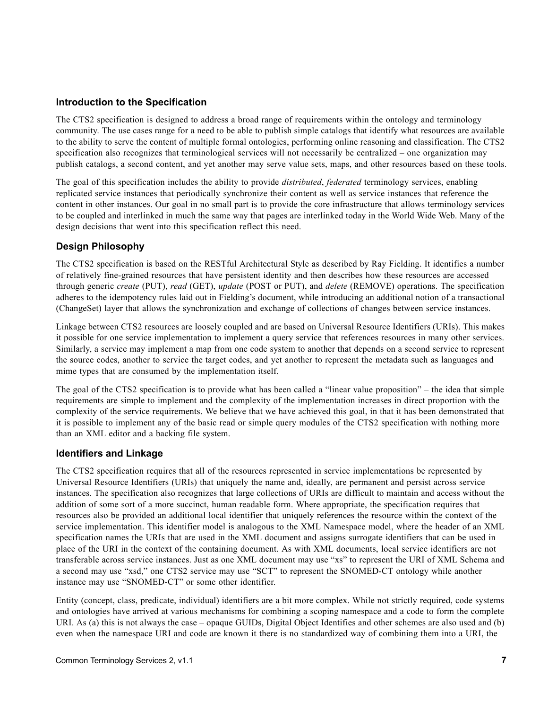### **Introduction to the Specification**

The CTS2 specification is designed to address a broad range of requirements within the ontology and terminology community. The use cases range for a need to be able to publish simple catalogs that identify what resources are available to the ability to serve the content of multiple formal ontologies, performing online reasoning and classification. The CTS2 specification also recognizes that terminological services will not necessarily be centralized – one organization may publish catalogs, a second content, and yet another may serve value sets, maps, and other resources based on these tools.

The goal of this specification includes the ability to provide *distributed*, *federated* terminology services, enabling replicated service instances that periodically synchronize their content as well as service instances that reference the content in other instances. Our goal in no small part is to provide the core infrastructure that allows terminology services to be coupled and interlinked in much the same way that pages are interlinked today in the World Wide Web. Many of the design decisions that went into this specification reflect this need.

### **Design Philosophy**

The CTS2 specification is based on the RESTful Architectural Style as described by Ray Fielding. It identifies a number of relatively fine-grained resources that have persistent identity and then describes how these resources are accessed through generic *create* (PUT), *read* (GET), *update* (POST or PUT), and *delete* (REMOVE) operations. The specification adheres to the idempotency rules laid out in Fielding's document, while introducing an additional notion of a transactional (ChangeSet) layer that allows the synchronization and exchange of collections of changes between service instances.

Linkage between CTS2 resources are loosely coupled and are based on Universal Resource Identifiers (URIs). This makes it possible for one service implementation to implement a query service that references resources in many other services. Similarly, a service may implement a map from one code system to another that depends on a second service to represent the source codes, another to service the target codes, and yet another to represent the metadata such as languages and mime types that are consumed by the implementation itself.

The goal of the CTS2 specification is to provide what has been called a "linear value proposition" – the idea that simple requirements are simple to implement and the complexity of the implementation increases in direct proportion with the complexity of the service requirements. We believe that we have achieved this goal, in that it has been demonstrated that it is possible to implement any of the basic read or simple query modules of the CTS2 specification with nothing more than an XML editor and a backing file system.

### **Identifiers and Linkage**

The CTS2 specification requires that all of the resources represented in service implementations be represented by Universal Resource Identifiers (URIs) that uniquely the name and, ideally, are permanent and persist across service instances. The specification also recognizes that large collections of URIs are difficult to maintain and access without the addition of some sort of a more succinct, human readable form. Where appropriate, the specification requires that resources also be provided an additional local identifier that uniquely references the resource within the context of the service implementation. This identifier model is analogous to the XML Namespace model, where the header of an XML specification names the URIs that are used in the XML document and assigns surrogate identifiers that can be used in place of the URI in the context of the containing document. As with XML documents, local service identifiers are not transferable across service instances. Just as one XML document may use "xs" to represent the URI of XML Schema and a second may use "xsd," one CTS2 service may use "SCT" to represent the SNOMED-CT ontology while another instance may use "SNOMED-CT" or some other identifier.

Entity (concept, class, predicate, individual) identifiers are a bit more complex. While not strictly required, code systems and ontologies have arrived at various mechanisms for combining a scoping namespace and a code to form the complete URI. As (a) this is not always the case – opaque GUIDs, Digital Object Identifies and other schemes are also used and (b) even when the namespace URI and code are known it there is no standardized way of combining them into a URI, the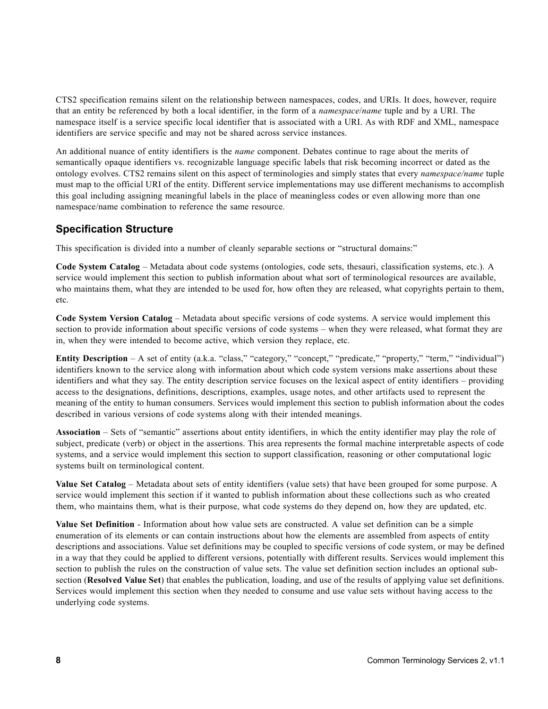CTS2 specification remains silent on the relationship between namespaces, codes, and URIs. It does, however, require that an entity be referenced by both a local identifier, in the form of a *namespace*/*name* tuple and by a URI. The namespace itself is a service specific local identifier that is associated with a URI. As with RDF and XML, namespace identifiers are service specific and may not be shared across service instances.

An additional nuance of entity identifiers is the *name* component. Debates continue to rage about the merits of semantically opaque identifiers vs. recognizable language specific labels that risk becoming incorrect or dated as the ontology evolves. CTS2 remains silent on this aspect of terminologies and simply states that every *namespace/name* tuple must map to the official URI of the entity. Different service implementations may use different mechanisms to accomplish this goal including assigning meaningful labels in the place of meaningless codes or even allowing more than one namespace/name combination to reference the same resource.

## **Specification Structure**

This specification is divided into a number of cleanly separable sections or "structural domains:"

**Code System Catalog** – Metadata about code systems (ontologies, code sets, thesauri, classification systems, etc.). A service would implement this section to publish information about what sort of terminological resources are available, who maintains them, what they are intended to be used for, how often they are released, what copyrights pertain to them, etc.

**Code System Version Catalog** – Metadata about specific versions of code systems. A service would implement this section to provide information about specific versions of code systems – when they were released, what format they are in, when they were intended to become active, which version they replace, etc.

**Entity Description** – A set of entity (a.k.a. "class," "category," "concept," "predicate," "property," "term," "individual") identifiers known to the service along with information about which code system versions make assertions about these identifiers and what they say. The entity description service focuses on the lexical aspect of entity identifiers – providing access to the designations, definitions, descriptions, examples, usage notes, and other artifacts used to represent the meaning of the entity to human consumers. Services would implement this section to publish information about the codes described in various versions of code systems along with their intended meanings.

**Association** – Sets of "semantic" assertions about entity identifiers, in which the entity identifier may play the role of subject, predicate (verb) or object in the assertions. This area represents the formal machine interpretable aspects of code systems, and a service would implement this section to support classification, reasoning or other computational logic systems built on terminological content.

**Value Set Catalog** – Metadata about sets of entity identifiers (value sets) that have been grouped for some purpose. A service would implement this section if it wanted to publish information about these collections such as who created them, who maintains them, what is their purpose, what code systems do they depend on, how they are updated, etc.

**Value Set Definition** - Information about how value sets are constructed. A value set definition can be a simple enumeration of its elements or can contain instructions about how the elements are assembled from aspects of entity descriptions and associations. Value set definitions may be coupled to specific versions of code system, or may be defined in a way that they could be applied to different versions, potentially with different results. Services would implement this section to publish the rules on the construction of value sets. The value set definition section includes an optional subsection (**Resolved Value Set**) that enables the publication, loading, and use of the results of applying value set definitions. Services would implement this section when they needed to consume and use value sets without having access to the underlying code systems.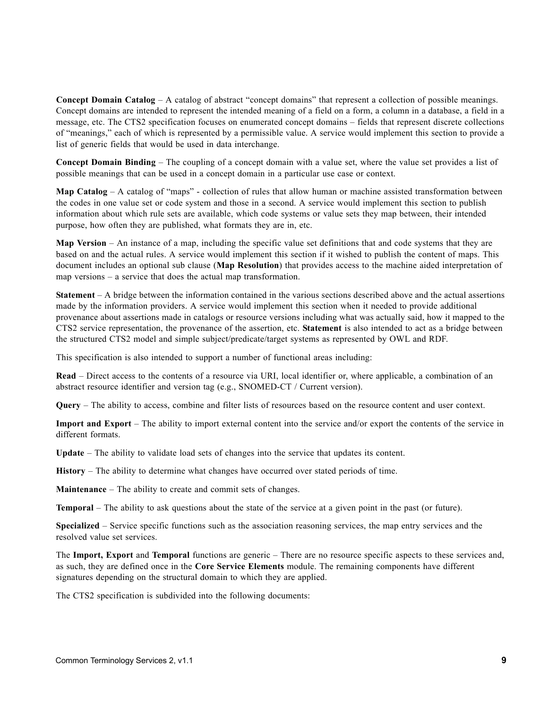**Concept Domain Catalog** – A catalog of abstract "concept domains" that represent a collection of possible meanings. Concept domains are intended to represent the intended meaning of a field on a form, a column in a database, a field in a message, etc. The CTS2 specification focuses on enumerated concept domains – fields that represent discrete collections of "meanings," each of which is represented by a permissible value. A service would implement this section to provide a list of generic fields that would be used in data interchange.

**Concept Domain Binding** – The coupling of a concept domain with a value set, where the value set provides a list of possible meanings that can be used in a concept domain in a particular use case or context.

**Map Catalog** – A catalog of "maps" - collection of rules that allow human or machine assisted transformation between the codes in one value set or code system and those in a second. A service would implement this section to publish information about which rule sets are available, which code systems or value sets they map between, their intended purpose, how often they are published, what formats they are in, etc.

**Map Version** – An instance of a map, including the specific value set definitions that and code systems that they are based on and the actual rules. A service would implement this section if it wished to publish the content of maps. This document includes an optional sub clause (**Map Resolution**) that provides access to the machine aided interpretation of map versions – a service that does the actual map transformation.

**Statement** – A bridge between the information contained in the various sections described above and the actual assertions made by the information providers. A service would implement this section when it needed to provide additional provenance about assertions made in catalogs or resource versions including what was actually said, how it mapped to the CTS2 service representation, the provenance of the assertion, etc. **Statement** is also intended to act as a bridge between the structured CTS2 model and simple subject/predicate/target systems as represented by OWL and RDF.

This specification is also intended to support a number of functional areas including:

**Read** – Direct access to the contents of a resource via URI, local identifier or, where applicable, a combination of an abstract resource identifier and version tag (e.g., SNOMED-CT / Current version).

**Query** – The ability to access, combine and filter lists of resources based on the resource content and user context.

**Import and Export** – The ability to import external content into the service and/or export the contents of the service in different formats.

**Update** – The ability to validate load sets of changes into the service that updates its content.

**History** – The ability to determine what changes have occurred over stated periods of time.

**Maintenance** – The ability to create and commit sets of changes.

**Temporal** – The ability to ask questions about the state of the service at a given point in the past (or future).

**Specialized** – Service specific functions such as the association reasoning services, the map entry services and the resolved value set services.

The **Import, Export** and **Temporal** functions are generic – There are no resource specific aspects to these services and, as such, they are defined once in the **Core Service Elements** module. The remaining components have different signatures depending on the structural domain to which they are applied.

The CTS2 specification is subdivided into the following documents: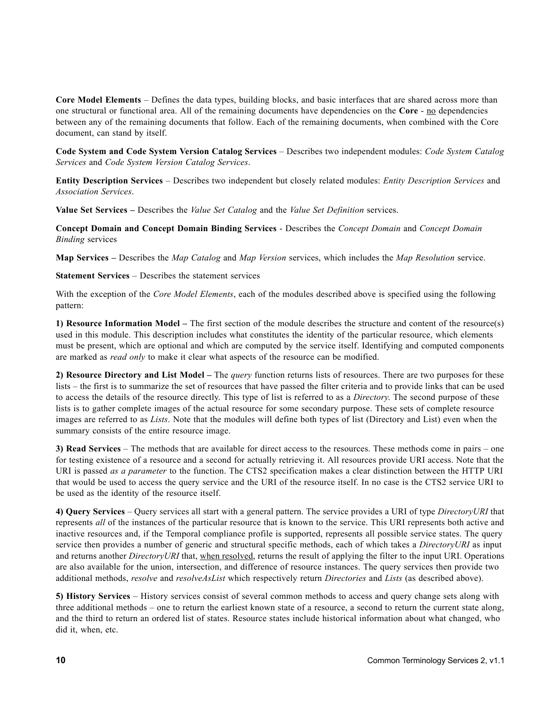**Core Model Elements** – Defines the data types, building blocks, and basic interfaces that are shared across more than one structural or functional area. All of the remaining documents have dependencies on the **Core** - no dependencies between any of the remaining documents that follow. Each of the remaining documents, when combined with the Core document, can stand by itself.

**Code System and Code System Version Catalog Services** – Describes two independent modules: *Code System Catalog Services* and *Code System Version Catalog Services*.

**Entity Description Services** – Describes two independent but closely related modules: *Entity Description Services* and *Association Services*.

**Value Set Services –** Describes the *Value Set Catalog* and the *Value Set Definition* services.

**Concept Domain and Concept Domain Binding Services** - Describes the *Concept Domain* and *Concept Domain Binding* services

**Map Services –** Describes the *Map Catalog* and *Map Version* services, which includes the *Map Resolution* service.

**Statement Services** – Describes the statement services

With the exception of the *Core Model Elements*, each of the modules described above is specified using the following pattern:

**1) Resource Information Model** *–* The first section of the module describes the structure and content of the resource(s) used in this module. This description includes what constitutes the identity of the particular resource, which elements must be present, which are optional and which are computed by the service itself. Identifying and computed components are marked as *read only* to make it clear what aspects of the resource can be modified.

**2) Resource Directory and List Model** *–* The *query* function returns lists of resources. There are two purposes for these lists – the first is to summarize the set of resources that have passed the filter criteria and to provide links that can be used to access the details of the resource directly. This type of list is referred to as a *Directory*. The second purpose of these lists is to gather complete images of the actual resource for some secondary purpose. These sets of complete resource images are referred to as *Lists*. Note that the modules will define both types of list (Directory and List) even when the summary consists of the entire resource image.

**3) Read Services** – The methods that are available for direct access to the resources. These methods come in pairs – one for testing existence of a resource and a second for actually retrieving it. All resources provide URI access. Note that the URI is passed *as a parameter* to the function. The CTS2 specification makes a clear distinction between the HTTP URI that would be used to access the query service and the URI of the resource itself. In no case is the CTS2 service URI to be used as the identity of the resource itself.

**4) Query Services** – Query services all start with a general pattern. The service provides a URI of type *DirectoryURI* that represents *all* of the instances of the particular resource that is known to the service. This URI represents both active and inactive resources and, if the Temporal compliance profile is supported, represents all possible service states. The query service then provides a number of generic and structural specific methods, each of which takes a *DirectoryURI* as input and returns another *DirectoryURI* that, when resolved, returns the result of applying the filter to the input URI. Operations are also available for the union, intersection, and difference of resource instances. The query services then provide two additional methods, *resolve* and *resolveAsList* which respectively return *Directories* and *Lists* (as described above).

**5) History Services** – History services consist of several common methods to access and query change sets along with three additional methods – one to return the earliest known state of a resource, a second to return the current state along, and the third to return an ordered list of states. Resource states include historical information about what changed, who did it, when, etc.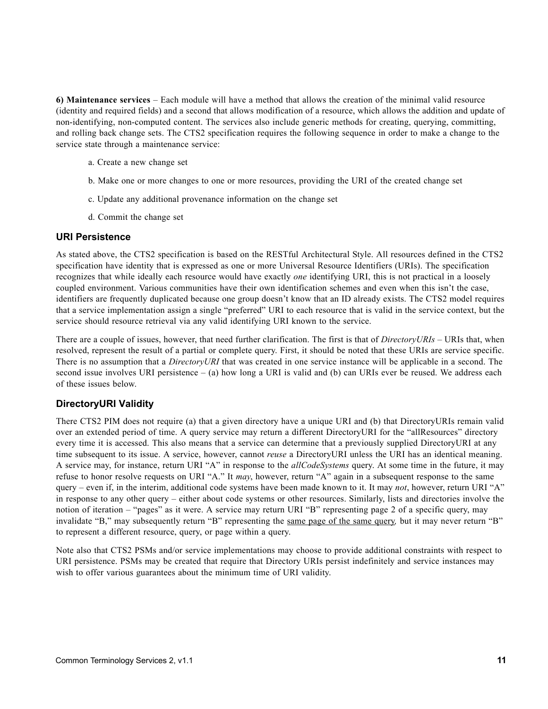**6) Maintenance services** – Each module will have a method that allows the creation of the minimal valid resource (identity and required fields) and a second that allows modification of a resource, which allows the addition and update of non-identifying, non-computed content. The services also include generic methods for creating, querying, committing, and rolling back change sets. The CTS2 specification requires the following sequence in order to make a change to the service state through a maintenance service:

- a. Create a new change set
- b. Make one or more changes to one or more resources, providing the URI of the created change set
- c. Update any additional provenance information on the change set
- d. Commit the change set

#### **URI Persistence**

As stated above, the CTS2 specification is based on the RESTful Architectural Style. All resources defined in the CTS2 specification have identity that is expressed as one or more Universal Resource Identifiers (URIs). The specification recognizes that while ideally each resource would have exactly *one* identifying URI, this is not practical in a loosely coupled environment. Various communities have their own identification schemes and even when this isn't the case, identifiers are frequently duplicated because one group doesn't know that an ID already exists. The CTS2 model requires that a service implementation assign a single "preferred" URI to each resource that is valid in the service context, but the service should resource retrieval via any valid identifying URI known to the service.

There are a couple of issues, however, that need further clarification. The first is that of *DirectoryURIs* – URIs that, when resolved, represent the result of a partial or complete query. First, it should be noted that these URIs are service specific. There is no assumption that a *DirectoryURI* that was created in one service instance will be applicable in a second. The second issue involves URI persistence – (a) how long a URI is valid and (b) can URIs ever be reused. We address each of these issues below.

### **DirectoryURI Validity**

There CTS2 PIM does not require (a) that a given directory have a unique URI and (b) that DirectoryURIs remain valid over an extended period of time. A query service may return a different DirectoryURI for the "allResources" directory every time it is accessed. This also means that a service can determine that a previously supplied DirectoryURI at any time subsequent to its issue. A service, however, cannot *reuse* a DirectoryURI unless the URI has an identical meaning. A service may, for instance, return URI "A" in response to the *allCodeSystems* query. At some time in the future, it may refuse to honor resolve requests on URI "A." It *may*, however, return "A" again in a subsequent response to the same query – even if, in the interim, additional code systems have been made known to it. It may *not*, however, return URI "A" in response to any other query – either about code systems or other resources. Similarly, lists and directories involve the notion of iteration – "pages" as it were. A service may return URI "B" representing page 2 of a specific query, may invalidate "B," may subsequently return "B" representing the same page of the same query*,* but it may never return "B" to represent a different resource, query, or page within a query.

Note also that CTS2 PSMs and/or service implementations may choose to provide additional constraints with respect to URI persistence. PSMs may be created that require that Directory URIs persist indefinitely and service instances may wish to offer various guarantees about the minimum time of URI validity.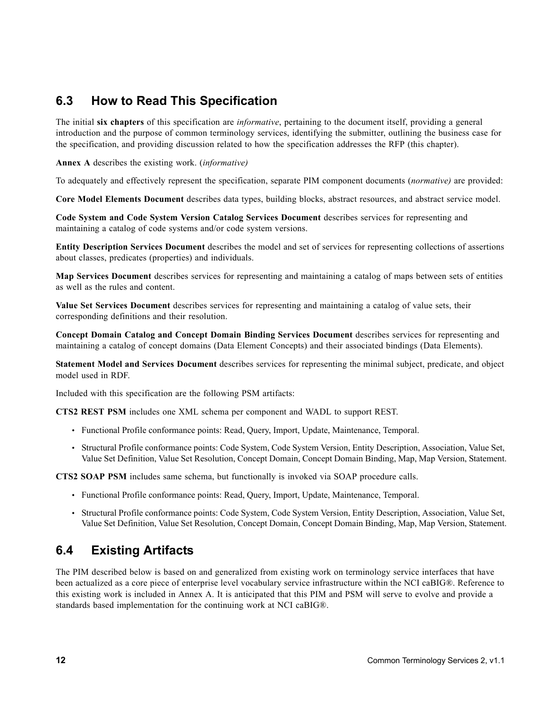## <span id="page-21-0"></span>**6.3 How to Read This Specification**

The initial **six chapters** of this specification are *informative*, pertaining to the document itself, providing a general introduction and the purpose of common terminology services, identifying the submitter, outlining the business case for the specification, and providing discussion related to how the specification addresses the RFP (this chapter).

**Annex A** describes the existing work. (*informative)*

To adequately and effectively represent the specification, separate PIM component documents (*normative)* are provided:

**Core Model Elements Document** describes data types, building blocks, abstract resources, and abstract service model.

**Code System and Code System Version Catalog Services Document** describes services for representing and maintaining a catalog of code systems and/or code system versions.

**Entity Description Services Document** describes the model and set of services for representing collections of assertions about classes, predicates (properties) and individuals.

**Map Services Document** describes services for representing and maintaining a catalog of maps between sets of entities as well as the rules and content.

**Value Set Services Document** describes services for representing and maintaining a catalog of value sets, their corresponding definitions and their resolution.

**Concept Domain Catalog and Concept Domain Binding Services Document** describes services for representing and maintaining a catalog of concept domains (Data Element Concepts) and their associated bindings (Data Elements).

**Statement Model and Services Document** describes services for representing the minimal subject, predicate, and object model used in RDF.

Included with this specification are the following PSM artifacts:

**CTS2 REST PSM** includes one XML schema per component and WADL to support REST.

- Functional Profile conformance points: Read, Query, Import, Update, Maintenance, Temporal.
- Structural Profile conformance points: Code System, Code System Version, Entity Description, Association, Value Set, Value Set Definition, Value Set Resolution, Concept Domain, Concept Domain Binding, Map, Map Version, Statement.

**CTS2 SOAP PSM** includes same schema, but functionally is invoked via SOAP procedure calls.

- Functional Profile conformance points: Read, Query, Import, Update, Maintenance, Temporal.
- Structural Profile conformance points: Code System, Code System Version, Entity Description, Association, Value Set, Value Set Definition, Value Set Resolution, Concept Domain, Concept Domain Binding, Map, Map Version, Statement.

## <span id="page-21-1"></span>**6.4 Existing Artifacts**

The PIM described below is based on and generalized from existing work on terminology service interfaces that have been actualized as a core piece of enterprise level vocabulary service infrastructure within the NCI caBIG®. Reference to this existing work is included in Annex A. It is anticipated that this PIM and PSM will serve to evolve and provide a standards based implementation for the continuing work at NCI caBIG®.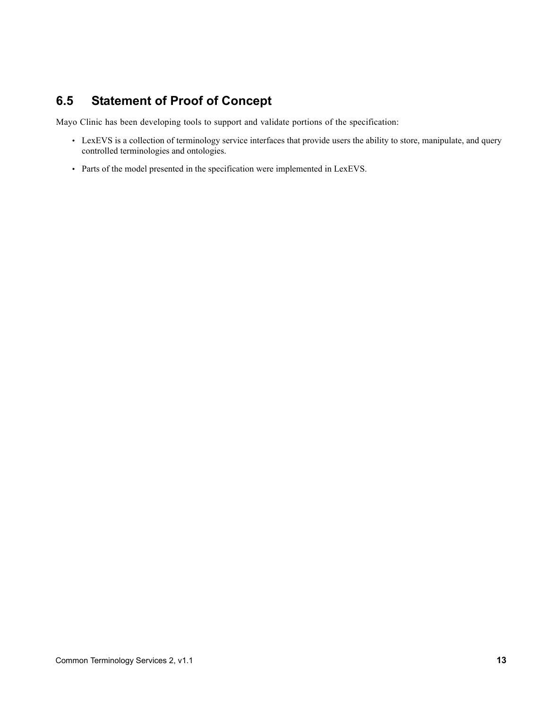## <span id="page-22-0"></span>**6.5 Statement of Proof of Concept**

Mayo Clinic has been developing tools to support and validate portions of the specification:

- LexEVS is a collection of terminology service interfaces that provide users the ability to store, manipulate, and query controlled terminologies and ontologies.
- Parts of the model presented in the specification were implemented in LexEVS.